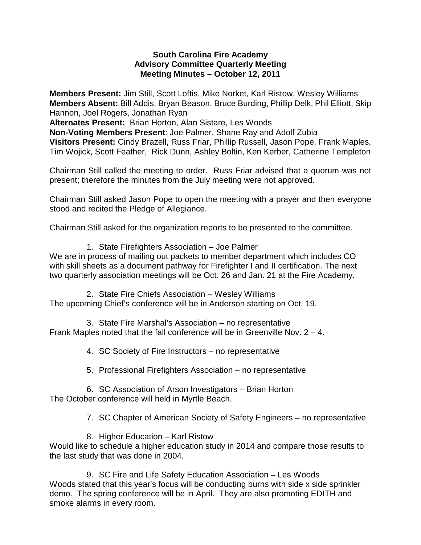#### **South Carolina Fire Academy Advisory Committee Quarterly Meeting Meeting Minutes – October 12, 2011**

**Members Present:** Jim Still, Scott Loftis, Mike Norket, Karl Ristow, Wesley Williams **Members Absent:** Bill Addis, Bryan Beason, Bruce Burding, Phillip Delk, Phil Elliott, Skip Hannon, Joel Rogers, Jonathan Ryan

**Alternates Present:** Brian Horton, Alan Sistare, Les Woods

**Non-Voting Members Present**: Joe Palmer, Shane Ray and Adolf Zubia **Visitors Present:** Cindy Brazell, Russ Friar, Phillip Russell, Jason Pope, Frank Maples, Tim Wojick, Scott Feather, Rick Dunn, Ashley Boltin, Ken Kerber, Catherine Templeton

Chairman Still called the meeting to order. Russ Friar advised that a quorum was not present; therefore the minutes from the July meeting were not approved.

Chairman Still asked Jason Pope to open the meeting with a prayer and then everyone stood and recited the Pledge of Allegiance.

Chairman Still asked for the organization reports to be presented to the committee.

1. State Firefighters Association – Joe Palmer

We are in process of mailing out packets to member department which includes CO with skill sheets as a document pathway for Firefighter I and II certification. The next two quarterly association meetings will be Oct. 26 and Jan. 21 at the Fire Academy.

2. State Fire Chiefs Association – Wesley Williams The upcoming Chief's conference will be in Anderson starting on Oct. 19.

3. State Fire Marshal's Association – no representative Frank Maples noted that the fall conference will be in Greenville Nov. 2 – 4.

4. SC Society of Fire Instructors – no representative

5. Professional Firefighters Association – no representative

6. SC Association of Arson Investigators – Brian Horton The October conference will held in Myrtle Beach.

7. SC Chapter of American Society of Safety Engineers – no representative

8. Higher Education – Karl Ristow Would like to schedule a higher education study in 2014 and compare those results to the last study that was done in 2004.

9. SC Fire and Life Safety Education Association – Les Woods Woods stated that this year's focus will be conducting burns with side x side sprinkler demo. The spring conference will be in April. They are also promoting EDITH and smoke alarms in every room.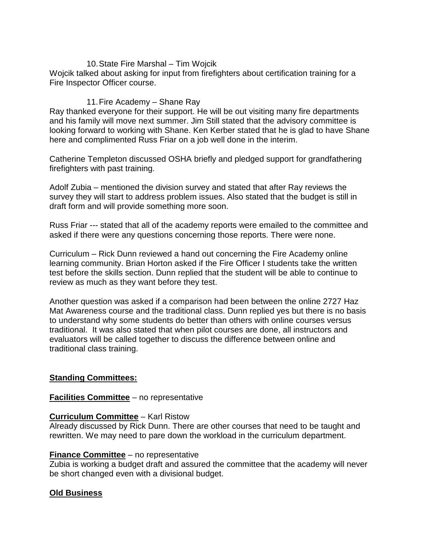### 10.State Fire Marshal – Tim Wojcik

Wojcik talked about asking for input from firefighters about certification training for a Fire Inspector Officer course.

### 11.Fire Academy – Shane Ray

Ray thanked everyone for their support. He will be out visiting many fire departments and his family will move next summer. Jim Still stated that the advisory committee is looking forward to working with Shane. Ken Kerber stated that he is glad to have Shane here and complimented Russ Friar on a job well done in the interim.

Catherine Templeton discussed OSHA briefly and pledged support for grandfathering firefighters with past training.

Adolf Zubia – mentioned the division survey and stated that after Ray reviews the survey they will start to address problem issues. Also stated that the budget is still in draft form and will provide something more soon.

Russ Friar --- stated that all of the academy reports were emailed to the committee and asked if there were any questions concerning those reports. There were none.

Curriculum – Rick Dunn reviewed a hand out concerning the Fire Academy online learning community. Brian Horton asked if the Fire Officer I students take the written test before the skills section. Dunn replied that the student will be able to continue to review as much as they want before they test.

Another question was asked if a comparison had been between the online 2727 Haz Mat Awareness course and the traditional class. Dunn replied yes but there is no basis to understand why some students do better than others with online courses versus traditional. It was also stated that when pilot courses are done, all instructors and evaluators will be called together to discuss the difference between online and traditional class training.

# **Standing Committees:**

### **Facilities Committee** – no representative

### **Curriculum Committee** – Karl Ristow

Already discussed by Rick Dunn. There are other courses that need to be taught and rewritten. We may need to pare down the workload in the curriculum department.

### **Finance Committee** – no representative

Zubia is working a budget draft and assured the committee that the academy will never be short changed even with a divisional budget.

# **Old Business**